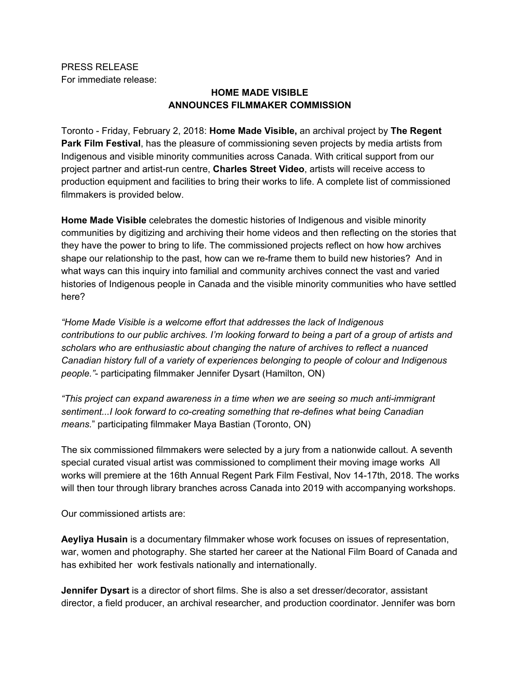PRESS RELEASE For immediate release:

## **HOME MADE VISIBLE ANNOUNCES FILMMAKER COMMISSION**

Toronto - Friday, February 2, 2018: **Home Made Visible,** an archival project by **The Regent Park Film Festival**, has the pleasure of commissioning seven projects by media artists from Indigenous and visible minority communities across Canada. With critical support from our project partner and artist-run centre, **Charles Street Video**, artists will receive access to production equipment and facilities to bring their works to life. A complete list of commissioned filmmakers is provided below.

**Home Made Visible** celebrates the domestic histories of Indigenous and visible minority communities by digitizing and archiving their home videos and then reflecting on the stories that they have the power to bring to life. The commissioned projects reflect on how how archives shape our relationship to the past, how can we re-frame them to build new histories? And in what ways can this inquiry into familial and community archives connect the vast and varied histories of Indigenous people in Canada and the visible minority communities who have settled here?

*"Home Made Visible is a welcome effort that addresses the lack of Indigenous* contributions to our public archives. I'm looking forward to being a part of a group of artists and *scholars who are enthusiastic about changing the nature of archives to reflect a nuanced Canadian history full of a variety of experiences belonging to people of colour and Indigenous people."*- participating filmmaker Jennifer Dysart (Hamilton, ON)

*"This project can expand awareness in a time when we are seeing so much anti-immigrant sentiment...I look forward to co-creating something that re-defines what being Canadian means.*" participating filmmaker Maya Bastian (Toronto, ON)

The six commissioned filmmakers were selected by a jury from a nationwide callout. A seventh special curated visual artist was commissioned to compliment their moving image works All works will premiere at the 16th Annual Regent Park Film Festival, Nov 14-17th, 2018. The works will then tour through library branches across Canada into 2019 with accompanying workshops.

Our commissioned artists are:

**Aeyliya Husain** is a documentary filmmaker whose work focuses on issues of representation, war, women and photography. She started her career at the National Film Board of Canada and has exhibited her work festivals nationally and internationally.

**Jennifer Dysart** is a director of short films. She is also a set dresser/decorator, assistant director, a field producer, an archival researcher, and production coordinator. Jennifer was born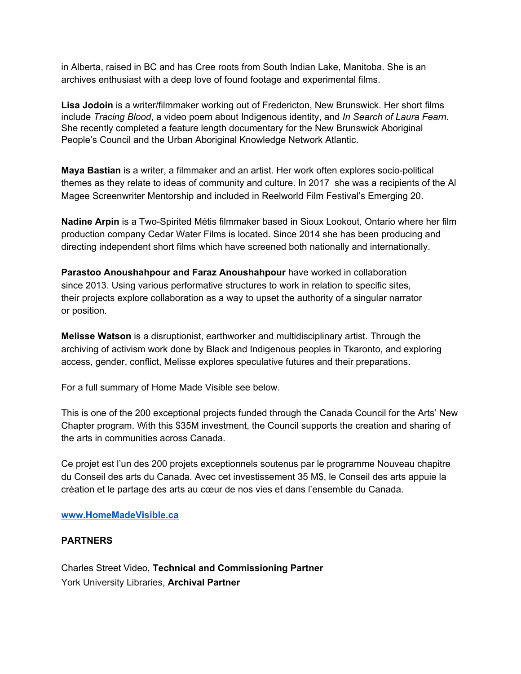in Alberta, raised in BC and has Cree roots from South Indian Lake, Manitoba. She is an archives enthusiast with a deep love of found footage and experimental films.

**Lisa Jodoin** is a writer/filmmaker working out of Fredericton, New Brunswick. Her short films include *Tracing Blood*, a video poem about Indigenous identity, and *In Search of Laura Fearn*. She recently completed a feature length documentary for the New Brunswick Aboriginal People's Council and the Urban Aboriginal Knowledge Network Atlantic.

**Maya Bastian** is a writer, a filmmaker and an artist. Her work often explores socio-political themes as they relate to ideas of community and culture. In 2017 she was a recipients of the Al Magee Screenwriter Mentorship and included in Reelworld Film Festival's Emerging 20.

**Nadine Arpin** is a Two-Spirited Métis filmmaker based in Sioux Lookout, Ontario where her film production company Cedar Water Films is located. Since 2014 she has been producing and directing independent short films which have screened both nationally and internationally.

**Parastoo Anoushahpour and Faraz Anoushahpour** have worked in collaboration since 2013. Using various performative structures to work in relation to specific sites, their projects explore collaboration as a way to upset the authority of a singular narrator or position.

**Melisse Watson** is a disruptionist, earthworker and multidisciplinary artist. Through the archiving of activism work done by Black and Indigenous peoples in Tkaronto, and exploring access, gender, conflict, Melisse explores speculative futures and their preparations.

For a full summary of Home Made Visible see below.

This is one of the 200 exceptional projects funded through the Canada Council for the Arts' New Chapter program. With this \$35M investment, the Council supports the creation and sharing of the arts in communities across Canada.

Ce projet est l'un des 200 projets exceptionnels soutenus par le programme Nouveau chapitre du Conseil des arts du Canada. Avec cet investissement 35 M\$, le Conseil des arts appuie la création et le partage des arts au cœur de nos vies et dans l'ensemble du Canada.

## **[www.HomeMadeVisible.ca](http://www.homemadevisible.ca/)**

## **PARTNERS**

Charles Street Video, **Technical and Commissioning Partner** York University Libraries, **Archival Partner**